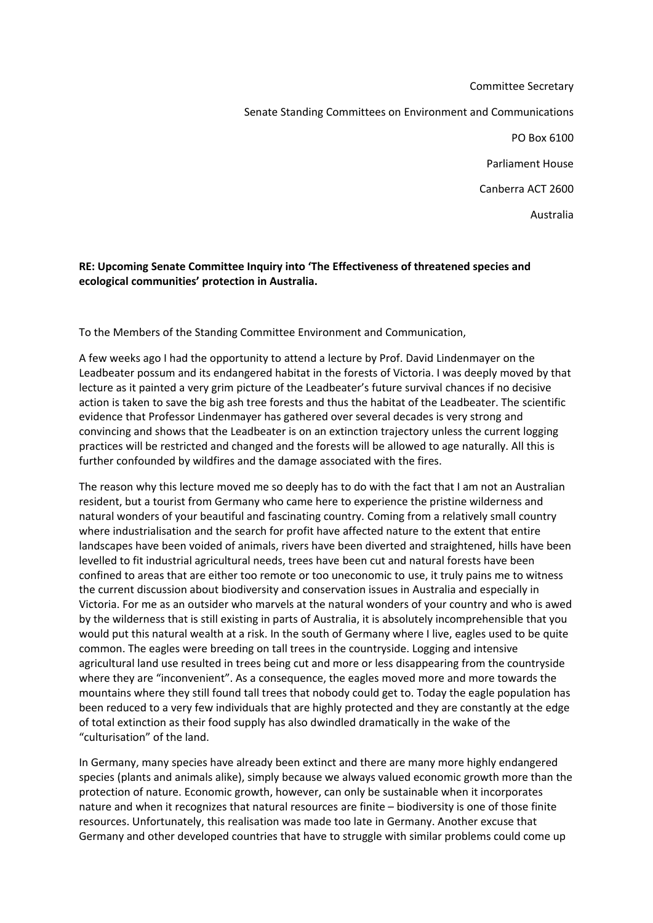Committee Secretary Senate Standing Committees on Environment and Communications PO Box 6100 Parliament House Canberra ACT 2600 Australia

## **RE: Upcoming Senate Committee Inquiry into 'The Effectiveness of threatened species and ecological communities' protection in Australia.**

To the Members of the Standing Committee Environment and Communication,

A few weeks ago I had the opportunity to attend a lecture by Prof. David Lindenmayer on the Leadbeater possum and its endangered habitat in the forests of Victoria. I was deeply moved by that lecture as it painted a very grim picture of the Leadbeater's future survival chances if no decisive action is taken to save the big ash tree forests and thus the habitat of the Leadbeater. The scientific evidence that Professor Lindenmayer has gathered over several decades is very strong and convincing and shows that the Leadbeater is on an extinction trajectory unless the current logging practices will be restricted and changed and the forests will be allowed to age naturally. All this is further confounded by wildfires and the damage associated with the fires.

The reason why this lecture moved me so deeply has to do with the fact that I am not an Australian resident, but a tourist from Germany who came here to experience the pristine wilderness and natural wonders of your beautiful and fascinating country. Coming from a relatively small country where industrialisation and the search for profit have affected nature to the extent that entire landscapes have been voided of animals, rivers have been diverted and straightened, hills have been levelled to fit industrial agricultural needs, trees have been cut and natural forests have been confined to areas that are either too remote or too uneconomic to use, it truly pains me to witness the current discussion about biodiversity and conservation issues in Australia and especially in Victoria. For me as an outsider who marvels at the natural wonders of your country and who is awed by the wilderness that is still existing in parts of Australia, it is absolutely incomprehensible that you would put this natural wealth at a risk. In the south of Germany where I live, eagles used to be quite common. The eagles were breeding on tall trees in the countryside. Logging and intensive agricultural land use resulted in trees being cut and more or less disappearing from the countryside where they are "inconvenient". As a consequence, the eagles moved more and more towards the mountains where they still found tall trees that nobody could get to. Today the eagle population has been reduced to a very few individuals that are highly protected and they are constantly at the edge of total extinction as their food supply has also dwindled dramatically in the wake of the "culturisation" of the land.

In Germany, many species have already been extinct and there are many more highly endangered species (plants and animals alike), simply because we always valued economic growth more than the protection of nature. Economic growth, however, can only be sustainable when it incorporates nature and when it recognizes that natural resources are finite – biodiversity is one of those finite resources. Unfortunately, this realisation was made too late in Germany. Another excuse that Germany and other developed countries that have to struggle with similar problems could come up